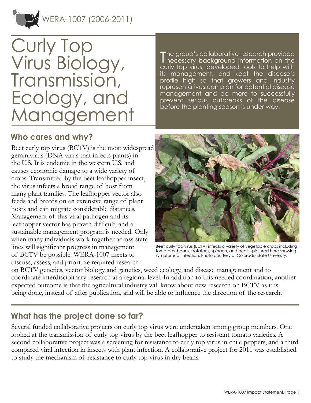WERA-1007 (2006-2011)



# Curly Top Virus Biology, Transmission, Ecology, and Management

T he group's collaborative research provided necessary background information on the curly top virus, developed tools to help with its management, and kept the disease's profile high so that growers and industry representatives can plan for potential disease management and do more to successfully prevent serious outbreaks of the disease before the planting season is under way.

### **Who cares and why?**

Beet curly top virus (BCTV) is the most widespread geminivirus (DNA virus that infects plants) in the U.S. It is endemic in the western U.S. and causes economic damage to a wide variety of crops. Transmitted by the beet leafhopper insect, the virus infects a broad range of host from many plant families. The leafhopper vector also feeds and breeds on an extensive range of plant hosts and can migrate considerable distances. Management of this viral pathogen and its leafhopper vector has proven difficult, and a sustainable management program is needed. Only when many individuals work together across state lines will significant progress in management of BCTV be possible. WERA-1007 meets to discuss, assess, and prioritize required research



Beet curly top virus (BCTV) infects a variety of vegetable crops including tomatoes, beans, potatoes, spinach, and beets--pictured here showing symptoms of infection. Photo courtesy of Colorado State University.

on BCTV genetics, vector biology and genetics, weed ecology, and disease management and to coordinate interdisciplinary research at a regional level. In addition to this needed coordination, another expected outcome is that the agricultural industry will know about new research on BCTV as it is being done, instead of after publication, and will be able to influence the direction of the research.

## **What has the project done so far?**

Several funded collaborative projects on curly top virus were undertaken among group members. One looked at the transmission of curly top virus by the beet leafhopper to resistant tomato varieties. A second collaborative project was a screening for resistance to curly top virus in chile peppers, and a third compared viral infection in insects with plant infection. A collaborative project for 2011 was established to study the mechanism of resistance to curly top virus in dry beans.